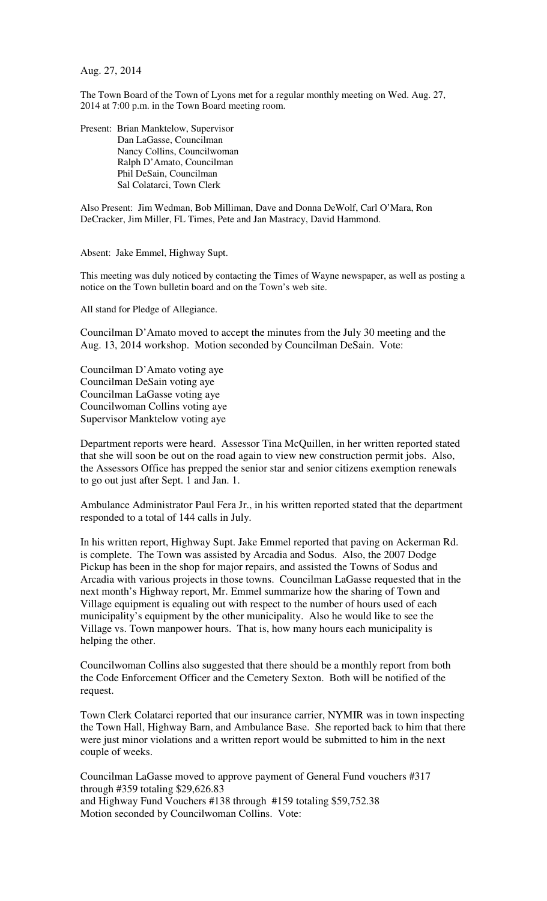Aug. 27, 2014

The Town Board of the Town of Lyons met for a regular monthly meeting on Wed. Aug. 27, 2014 at 7:00 p.m. in the Town Board meeting room.

Present: Brian Manktelow, Supervisor Dan LaGasse, Councilman Nancy Collins, Councilwoman Ralph D'Amato, Councilman Phil DeSain, Councilman Sal Colatarci, Town Clerk

Also Present: Jim Wedman, Bob Milliman, Dave and Donna DeWolf, Carl O'Mara, Ron DeCracker, Jim Miller, FL Times, Pete and Jan Mastracy, David Hammond.

Absent: Jake Emmel, Highway Supt.

This meeting was duly noticed by contacting the Times of Wayne newspaper, as well as posting a notice on the Town bulletin board and on the Town's web site.

All stand for Pledge of Allegiance.

Councilman D'Amato moved to accept the minutes from the July 30 meeting and the Aug. 13, 2014 workshop. Motion seconded by Councilman DeSain. Vote:

Councilman D'Amato voting aye Councilman DeSain voting aye Councilman LaGasse voting aye Councilwoman Collins voting aye Supervisor Manktelow voting aye

Department reports were heard. Assessor Tina McQuillen, in her written reported stated that she will soon be out on the road again to view new construction permit jobs. Also, the Assessors Office has prepped the senior star and senior citizens exemption renewals to go out just after Sept. 1 and Jan. 1.

Ambulance Administrator Paul Fera Jr., in his written reported stated that the department responded to a total of 144 calls in July.

In his written report, Highway Supt. Jake Emmel reported that paving on Ackerman Rd. is complete. The Town was assisted by Arcadia and Sodus. Also, the 2007 Dodge Pickup has been in the shop for major repairs, and assisted the Towns of Sodus and Arcadia with various projects in those towns. Councilman LaGasse requested that in the next month's Highway report, Mr. Emmel summarize how the sharing of Town and Village equipment is equaling out with respect to the number of hours used of each municipality's equipment by the other municipality. Also he would like to see the Village vs. Town manpower hours. That is, how many hours each municipality is helping the other.

Councilwoman Collins also suggested that there should be a monthly report from both the Code Enforcement Officer and the Cemetery Sexton. Both will be notified of the request.

Town Clerk Colatarci reported that our insurance carrier, NYMIR was in town inspecting the Town Hall, Highway Barn, and Ambulance Base. She reported back to him that there were just minor violations and a written report would be submitted to him in the next couple of weeks.

Councilman LaGasse moved to approve payment of General Fund vouchers #317 through #359 totaling \$29,626.83 and Highway Fund Vouchers #138 through #159 totaling \$59,752.38 Motion seconded by Councilwoman Collins. Vote: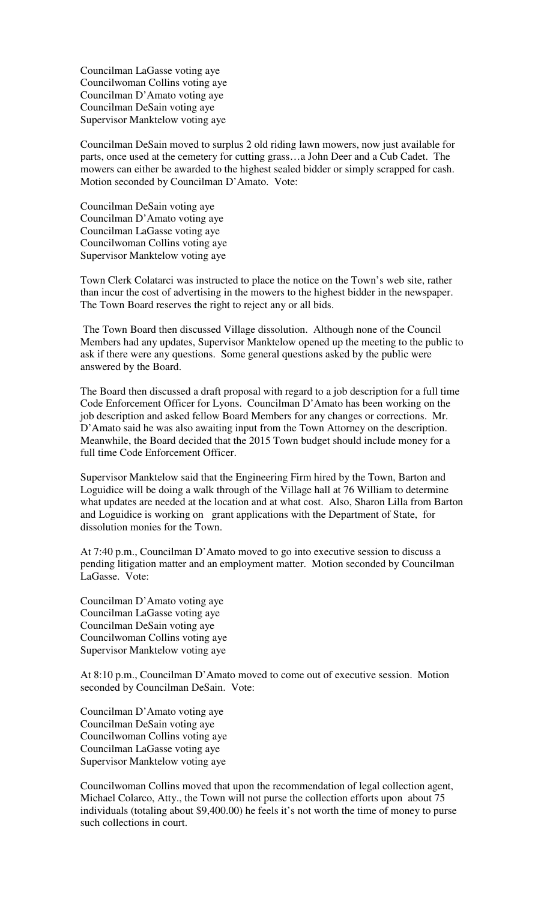Councilman LaGasse voting aye Councilwoman Collins voting aye Councilman D'Amato voting aye Councilman DeSain voting aye Supervisor Manktelow voting aye

Councilman DeSain moved to surplus 2 old riding lawn mowers, now just available for parts, once used at the cemetery for cutting grass…a John Deer and a Cub Cadet. The mowers can either be awarded to the highest sealed bidder or simply scrapped for cash. Motion seconded by Councilman D'Amato. Vote:

Councilman DeSain voting aye Councilman D'Amato voting aye Councilman LaGasse voting aye Councilwoman Collins voting aye Supervisor Manktelow voting aye

Town Clerk Colatarci was instructed to place the notice on the Town's web site, rather than incur the cost of advertising in the mowers to the highest bidder in the newspaper. The Town Board reserves the right to reject any or all bids.

 The Town Board then discussed Village dissolution. Although none of the Council Members had any updates, Supervisor Manktelow opened up the meeting to the public to ask if there were any questions. Some general questions asked by the public were answered by the Board.

The Board then discussed a draft proposal with regard to a job description for a full time Code Enforcement Officer for Lyons. Councilman D'Amato has been working on the job description and asked fellow Board Members for any changes or corrections. Mr. D'Amato said he was also awaiting input from the Town Attorney on the description. Meanwhile, the Board decided that the 2015 Town budget should include money for a full time Code Enforcement Officer.

Supervisor Manktelow said that the Engineering Firm hired by the Town, Barton and Loguidice will be doing a walk through of the Village hall at 76 William to determine what updates are needed at the location and at what cost. Also, Sharon Lilla from Barton and Loguidice is working on grant applications with the Department of State, for dissolution monies for the Town.

At 7:40 p.m., Councilman D'Amato moved to go into executive session to discuss a pending litigation matter and an employment matter. Motion seconded by Councilman LaGasse. Vote:

Councilman D'Amato voting aye Councilman LaGasse voting aye Councilman DeSain voting aye Councilwoman Collins voting aye Supervisor Manktelow voting aye

At 8:10 p.m., Councilman D'Amato moved to come out of executive session. Motion seconded by Councilman DeSain. Vote:

Councilman D'Amato voting aye Councilman DeSain voting aye Councilwoman Collins voting aye Councilman LaGasse voting aye Supervisor Manktelow voting aye

Councilwoman Collins moved that upon the recommendation of legal collection agent, Michael Colarco, Atty., the Town will not purse the collection efforts upon about 75 individuals (totaling about \$9,400.00) he feels it's not worth the time of money to purse such collections in court.